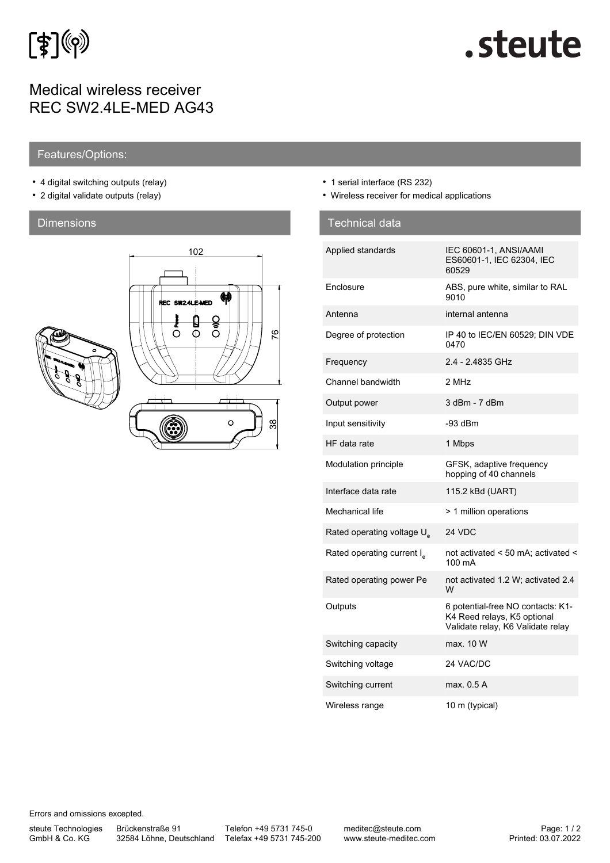

# Medical wireless receiver REC SW2.4LE-MED AG43

# .steute

## Features/Options:

- 4 digital switching outputs (relay)
- 2 digital validate outputs (relay)

## **Dimensions**



- 1 serial interface (RS 232)
- Wireless receiver for medical applications

| <b>Technical data</b>                  |                                                                                                       |
|----------------------------------------|-------------------------------------------------------------------------------------------------------|
| Applied standards                      | IEC 60601-1, ANSI/AAMI<br>ES60601-1, IEC 62304, IEC<br>60529                                          |
| Enclosure                              | ABS, pure white, similar to RAL<br>9010                                                               |
| Antenna                                | internal antenna                                                                                      |
| Degree of protection                   | IP 40 to IEC/EN 60529; DIN VDE<br>0470                                                                |
| Frequency                              | 2.4 - 2.4835 GHz                                                                                      |
| Channel bandwidth                      | 2 MHz                                                                                                 |
| Output power                           | 3 dBm - 7 dBm                                                                                         |
| Input sensitivity                      | $-93$ dBm                                                                                             |
| HF data rate                           | 1 Mbps                                                                                                |
| Modulation principle                   | GFSK, adaptive frequency<br>hopping of 40 channels                                                    |
| Interface data rate                    | 115.2 kBd (UART)                                                                                      |
| Mechanical life                        | > 1 million operations                                                                                |
| Rated operating voltage U <sub>s</sub> | 24 VDC                                                                                                |
| Rated operating current I <sub>s</sub> | not activated < 50 mA; activated <<br>100 mA                                                          |
| Rated operating power Pe               | not activated 1.2 W; activated 2.4<br>W                                                               |
| Outputs                                | 6 potential-free NO contacts: K1-<br>K4 Reed relays, K5 optional<br>Validate relay, K6 Validate relay |
| Switching capacity                     | max. 10 W                                                                                             |
| Switching voltage                      | 24 VAC/DC                                                                                             |
| Switching current                      | max. 0.5 A                                                                                            |
| Wireless range                         | 10 m (typical)                                                                                        |

Errors and omissions excepted.

steute Technologies GmbH & Co. KG

Brückenstraße 91

32584 Löhne, Deutschland Telefax +49 5731 745-200 Telefon +49 5731 745-0

meditec@steute.com www.steute-meditec.com Printed: 03.07.2022